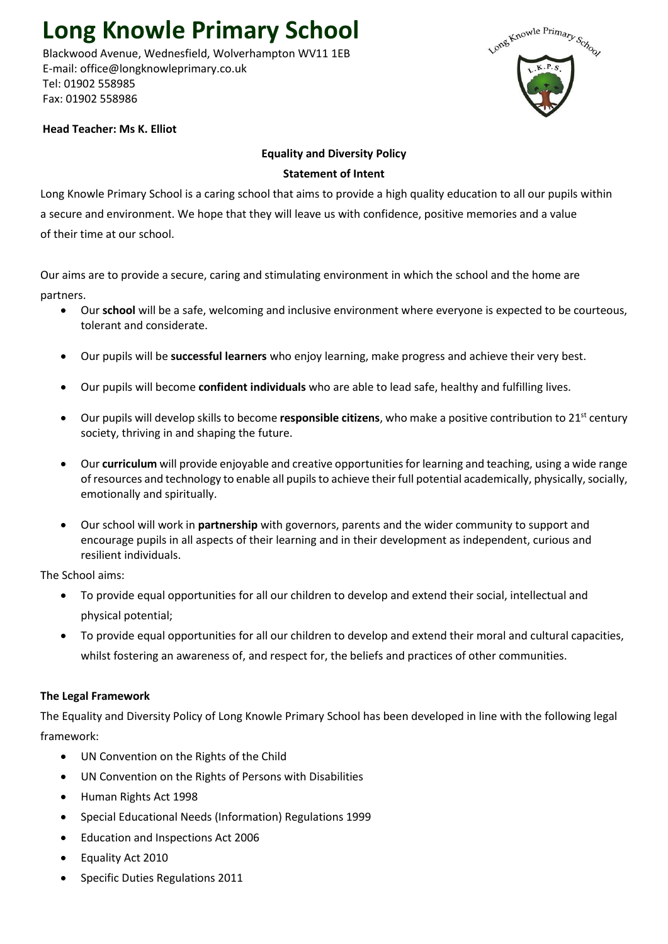# **Long Knowle Primary School**

 Blackwood Avenue, Wednesfield, Wolverhampton WV11 1EB E-mail: office@longknowleprimary.co.uk Tel: 01902 558985 Fax: 01902 558986



# **Head Teacher: Ms K. Elliot**

# **Equality and Diversity Policy**

## **Statement of Intent**

Long Knowle Primary School is a caring school that aims to provide a high quality education to all our pupils within a secure and environment. We hope that they will leave us with confidence, positive memories and a value of their time at our school.

Our aims are to provide a secure, caring and stimulating environment in which the school and the home are partners.

- Our **school** will be a safe, welcoming and inclusive environment where everyone is expected to be courteous, tolerant and considerate.
- Our pupils will be **successful learners** who enjoy learning, make progress and achieve their very best.
- Our pupils will become **confident individuals** who are able to lead safe, healthy and fulfilling lives.
- Our pupils will develop skills to become **responsible citizens**, who make a positive contribution to 21st century society, thriving in and shaping the future.
- Our **curriculum** will provide enjoyable and creative opportunities for learning and teaching, using a wide range of resources and technology to enable all pupils to achieve their full potential academically, physically, socially, emotionally and spiritually.
- Our school will work in **partnership** with governors, parents and the wider community to support and encourage pupils in all aspects of their learning and in their development as independent, curious and resilient individuals.

The School aims:

- To provide equal opportunities for all our children to develop and extend their social, intellectual and physical potential;
- To provide equal opportunities for all our children to develop and extend their moral and cultural capacities, whilst fostering an awareness of, and respect for, the beliefs and practices of other communities.

# **The Legal Framework**

The Equality and Diversity Policy of Long Knowle Primary School has been developed in line with the following legal framework:

- UN Convention on the Rights of the Child
- UN Convention on the Rights of Persons with Disabilities
- Human Rights Act 1998
- Special Educational Needs (Information) Regulations 1999
- Education and Inspections Act 2006
- Equality Act 2010
- Specific Duties Regulations 2011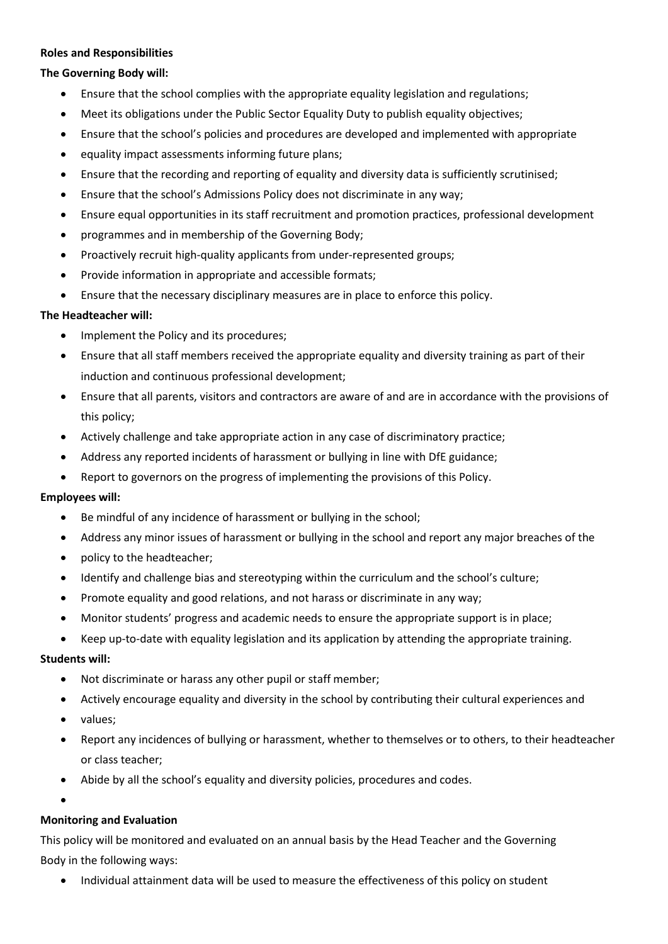#### **Roles and Responsibilities**

# **The Governing Body will:**

- Ensure that the school complies with the appropriate equality legislation and regulations;
- Meet its obligations under the Public Sector Equality Duty to publish equality objectives;
- Ensure that the school's policies and procedures are developed and implemented with appropriate
- equality impact assessments informing future plans;
- Ensure that the recording and reporting of equality and diversity data is sufficiently scrutinised;
- Ensure that the school's Admissions Policy does not discriminate in any way;
- Ensure equal opportunities in its staff recruitment and promotion practices, professional development
- programmes and in membership of the Governing Body;
- Proactively recruit high-quality applicants from under-represented groups;
- Provide information in appropriate and accessible formats;
- Ensure that the necessary disciplinary measures are in place to enforce this policy.

#### **The Headteacher will:**

- Implement the Policy and its procedures;
- Ensure that all staff members received the appropriate equality and diversity training as part of their induction and continuous professional development;
- Ensure that all parents, visitors and contractors are aware of and are in accordance with the provisions of this policy;
- Actively challenge and take appropriate action in any case of discriminatory practice;
- Address any reported incidents of harassment or bullying in line with DfE guidance;
- Report to governors on the progress of implementing the provisions of this Policy.

#### **Employees will:**

- Be mindful of any incidence of harassment or bullying in the school;
- Address any minor issues of harassment or bullying in the school and report any major breaches of the
- policy to the headteacher;
- Identify and challenge bias and stereotyping within the curriculum and the school's culture;
- Promote equality and good relations, and not harass or discriminate in any way;
- Monitor students' progress and academic needs to ensure the appropriate support is in place;
- Keep up-to-date with equality legislation and its application by attending the appropriate training.

#### **Students will:**

- Not discriminate or harass any other pupil or staff member;
- Actively encourage equality and diversity in the school by contributing their cultural experiences and
- values;
- Report any incidences of bullying or harassment, whether to themselves or to others, to their headteacher or class teacher;
- Abide by all the school's equality and diversity policies, procedures and codes.
- •

#### **Monitoring and Evaluation**

This policy will be monitored and evaluated on an annual basis by the Head Teacher and the Governing Body in the following ways:

• Individual attainment data will be used to measure the effectiveness of this policy on student